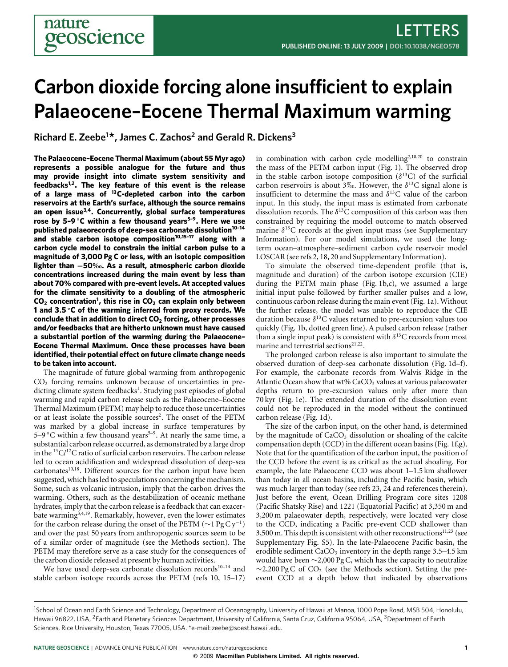# **Carbon dioxide forcing alone insufficient to explain Palaeocene–Eocene Thermal Maximum warming**

**Richard E. Zeebe<sup>1</sup> \*, James C. Zachos<sup>2</sup> and Gerald R. Dickens<sup>3</sup>**

**The Palaeocene–Eocene Thermal Maximum (about 55 Myr ago) represents a possible analogue for the future and thus may provide insight into climate system sensitivity and feedbacks[1](#page-3-0)[,2](#page-3-1) . The key feature of this event is the release of a large mass of <sup>13</sup>C-depleted carbon into the carbon reservoirs at the Earth's surface, although the source remains an open issue[3](#page-3-2)[,4](#page-3-3) . Concurrently, global surface temperatures rose by 5–9** ◦**C within a few thousand years[5](#page-3-4)[–9](#page-3-5) . Here we use published palaeorecords of deep-sea carbonate dissolution[10](#page-3-6)[–14](#page-3-7) and stable carbon isotope composition[10,](#page-3-6)[15–](#page-4-0)[17](#page-4-1) along with a carbon cycle model to constrain the initial carbon pulse to a magnitude of 3,000 Pg C or less, with an isotopic composition lighter than** −**50. As a result, atmospheric carbon dioxide concentrations increased during the main event by less than about 70% compared with pre-event levels. At accepted values for the climate sensitivity to a doubling of the atmospheric CO<sup>2</sup> concentration[1](#page-3-0) , this rise in CO<sup>2</sup> can explain only between 1 and 3**.**5** ◦**C of the warming inferred from proxy records. We conclude that in addition to direct CO<sup>2</sup> forcing, other processes and/or feedbacks that are hitherto unknown must have caused a substantial portion of the warming during the Palaeocene– Eocene Thermal Maximum. Once these processes have been identified, their potential effect on future climate change needs to be taken into account.**

The magnitude of future global warming from anthropogenic  $CO<sub>2</sub>$  forcing remains unknown because of uncertainties in pre-dicting climate system feedbacks<sup>[1](#page-3-0)</sup>. Studying past episodes of global warming and rapid carbon release such as the Palaeocene–Eocene Thermal Maximum (PETM) may help to reduce those uncertainties or at least isolate the possible sources<sup>[2](#page-3-1)</sup>. The onset of the PETM was marked by a global increase in surface temperatures by [5](#page-3-4)[–9](#page-3-5) °C within a few thousand years<sup>5–9</sup>. At nearly the same time, a substantial carbon release occurred, as demonstrated by a large drop in the  ${}^{13}C/{}^{12}C$  ratio of surficial carbon reservoirs. The carbon release led to ocean acidification and widespread dissolution of deep-sea carbonates<sup>[10,](#page-3-6)[18](#page-4-2)</sup>. Different sources for the carbon input have been suggested, which has led to speculations concerning the mechanism. Some, such as volcanic intrusion, imply that the carbon drives the warming. Others, such as the destabilization of oceanic methane hydrates, imply that the carbon release is a feedback that can exacer-bate warming<sup>[3](#page-3-2)[,4,](#page-3-3)[19](#page-4-3)</sup>. Remarkably, however, even the lower estimates for the carbon release during the onset of the PETM ( $\sim$ 1 Pg Cy<sup>-1</sup>) and over the past 50 years from anthropogenic sources seem to be of a similar order of magnitude (see the Methods section). The PETM may therefore serve as a case study for the consequences of the carbon dioxide released at present by human activities.

We have used deep-sea carbonate dissolution records<sup>[10](#page-3-6)-14</sup> and stable carbon isotope records across the PETM (refs [10,](#page-3-6) [15–](#page-4-0)[17\)](#page-4-1) in combination with carbon cycle modelling<sup>[2](#page-3-1)[,18,](#page-4-2)[20](#page-4-4)</sup> to constrain the mass of the PETM carbon input [\(Fig.](#page-1-0) [1\)](#page-1-0). The observed drop in the stable carbon isotope composition  $(\delta^{13}C)$  of the surficial carbon reservoirs is about 3‰. However, the  $\delta^{13}$ C signal alone is insufficient to determine the mass and  $\delta^{13}$ C value of the carbon input. In this study, the input mass is estimated from carbonate dissolution records. The  $\delta^{13}$ C composition of this carbon was then constrained by requiring the model outcome to match observed marine  $\delta^{13}$ C records at the given input mass (see Supplementary Information). For our model simulations, we used the longterm ocean–atmosphere–sediment carbon cycle reservoir model LOSCAR (see refs [2,](#page-3-1) [18,](#page-4-2) [20](#page-4-4) and Supplementary Information).

To simulate the observed time-dependent profile (that is, magnitude and duration) of the carbon isotope excursion (CIE) during the PETM main phase [\(Fig.](#page-1-0) [1b](#page-1-0),c), we assumed a large initial input pulse followed by further smaller pulses and a low, continuous carbon release during the main event [\(Fig.](#page-1-0) [1a](#page-1-0)). Without the further release, the model was unable to reproduce the CIE duration because  $\delta^{13}$ C values returned to pre-excursion values too quickly [\(Fig.](#page-1-0) [1b](#page-1-0), dotted green line). A pulsed carbon release (rather than a single input peak) is consistent with  $\delta^{13}$ C records from most marine and terrestrial sections<sup>[21](#page-4-5)[,22](#page-4-6)</sup>.

The prolonged carbon release is also important to simulate the observed duration of deep-sea carbonate dissolution [\(Fig.](#page-1-0) [1d](#page-1-0)–f). For example, the carbonate records from Walvis Ridge in the Atlantic Ocean show that wt%  $CaCO<sub>3</sub>$  values at various palaeowater depths return to pre-excursion values only after more than 70 kyr [\(Fig.](#page-1-0) [1e](#page-1-0)). The extended duration of the dissolution event could not be reproduced in the model without the continued carbon release [\(Fig.](#page-1-0) [1d](#page-1-0)).

The size of the carbon input, on the other hand, is determined by the magnitude of CaCO<sub>3</sub> dissolution or shoaling of the calcite compensation depth (CCD) in the different ocean basins [\(Fig.](#page-1-0) [1f](#page-1-0),g). Note that for the quantification of the carbon input, the position of the CCD before the event is as critical as the actual shoaling. For example, the late Palaeocene CCD was about 1–1.5 km shallower than today in all ocean basins, including the Pacific basin, which was much larger than today (see refs [23,](#page-4-7) [24](#page-4-8) and references therein). Just before the event, Ocean Drilling Program core sites 1208 (Pacific Shatsky Rise) and 1221 (Equatorial Pacific) at 3,350 m and 3,200 m palaeowater depth, respectively, were located very close to the CCD, indicating a Pacific pre-event CCD shallower than 3,500 m. This depth is consistent with other reconstructions $11,23$  $11,23$  (see Supplementary Fig. S5). In the late-Palaeocene Pacific basin, the erodible sediment  $CaCO<sub>3</sub>$  inventory in the depth range 3.5–4.5 km would have been ∼2,000 Pg C, which has the capacity to neutralize  $\sim$ 2,200 Pg C of CO<sub>2</sub> (see the Methods section). Setting the preevent CCD at a depth below that indicated by observations

<sup>&</sup>lt;sup>1</sup>School of Ocean and Earth Science and Technology, Department of Oceanography, University of Hawaii at Manoa, 1000 Pope Road, MSB 504, Honolulu, Hawaii 96822, USA, <sup>2</sup>Earth and Planetary Sciences Department, University of California, Santa Cruz, California 95064, USA, <sup>3</sup>Department of Earth Sciences, Rice University, Houston, Texas 77005, USA. \*e-mail: [zeebe@soest.hawaii.edu.](mailto:zeebe@soest.hawaii.edu)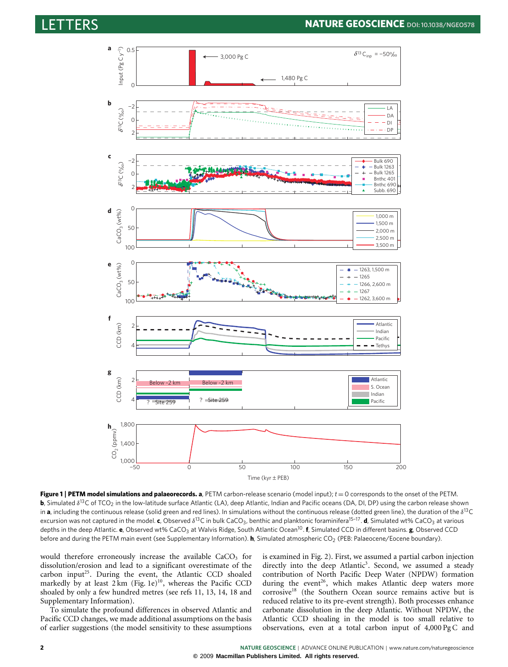# LETTERS **NATURE GEOSCIENCE DOI:[10.1038/NGEO578](http://www.nature.com/doifinder/10.1038/ngeo578)**



<span id="page-1-0"></span>**Figure 1** | **PETM model simulations and palaeorecords. a**, PETM carbon-release scenario (model input); *t* = 0 corresponds to the onset of the PETM. **b**, Simulated δ<sup>13</sup>C of TCO<sub>2</sub> in the low-latitude surface Atlantic (LA), deep Atlantic, Indian and Pacific oceans (DA, DI, DP) using the carbon release shown in **a**, including the continuous release (solid green and red lines). In simulations without the continuous release (dotted green line), the duration of the  $\delta^{13}C$ excursion was not captured in the model. **c**, Observed δ<sup>13</sup>C in bulk CaCO<sub>3</sub>, benthic and planktonic foraminifera<sup>[15](#page-4-0)-17</sup>. **d**, Simulated wt% CaCO<sub>3</sub> at various depths in the deep Atlantic. **e**, Observed wt% CaCO<sub>3</sub> at Walvis Ridge, South Atlantic Ocean<sup>[10](#page-3-6)</sup>. **f**, Simulated CCD in different basins. **g**, Observed CCD before and during the PETM main event (see Supplementary Information). **h**, Simulated atmospheric CO<sub>2</sub> (PEB: Palaeocene/Eocene boundary).

would therefore erroneously increase the available  $CaCO<sub>3</sub>$  for dissolution/erosion and lead to a significant overestimate of the carbon input<sup>[25](#page-4-9)</sup>. During the event, the Atlantic CCD shoaled markedly by at least  $2 \text{ km}$  [\(Fig.](#page-1-0) [1e](#page-1-0))<sup>[10](#page-3-6)</sup>, whereas the Pacific CCD shoaled by only a few hundred metres (see refs [11,](#page-3-8) [13,](#page-3-9) [14,](#page-3-7) [18](#page-4-2) and Supplementary Information).

To simulate the profound differences in observed Atlantic and Pacific CCD changes, we made additional assumptions on the basis of earlier suggestions (the model sensitivity to these assumptions is examined in [Fig.](#page-2-0) [2\)](#page-2-0). First, we assumed a partial carbon injection directly into the deep Atlantic<sup>[3](#page-3-2)</sup>. Second, we assumed a steady contribution of North Pacific Deep Water (NPDW) formation during the event<sup>[26](#page-4-10)</sup>, which makes Atlantic deep waters more corrosive[18](#page-4-2) (the Southern Ocean source remains active but is reduced relative to its pre-event strength). Both processes enhance carbonate dissolution in the deep Atlantic. Without NPDW, the Atlantic CCD shoaling in the model is too small relative to observations, even at a total carbon input of 4,000 Pg C and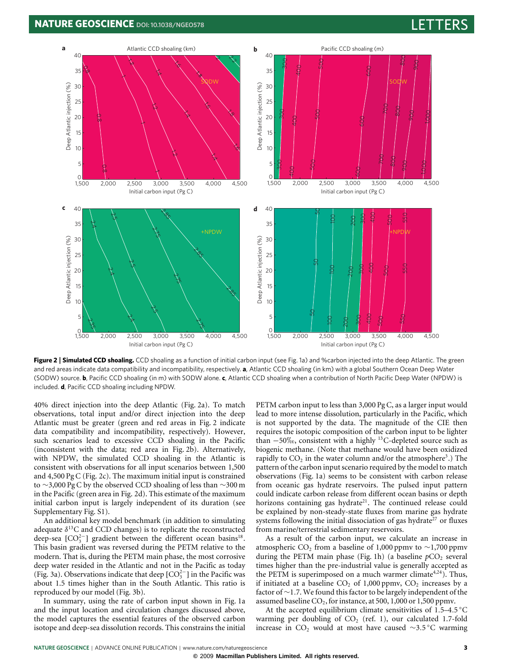

<span id="page-2-0"></span>**Figure 2** | **Simulated CCD shoaling.** CCD shoaling as a function of initial carbon input (see Fig. 1a) and %carbon injected into the deep Atlantic. The green and red areas indicate data compatibility and incompatibility, respectively. **a**, Atlantic CCD shoaling (in km) with a global Southern Ocean Deep Water (SODW) source. **b**, Pacific CCD shoaling (in m) with SODW alone. **c**, Atlantic CCD shoaling when a contribution of North Pacific Deep Water (NPDW) is included. **d**, Pacific CCD shoaling including NPDW.

40% direct injection into the deep Atlantic [\(Fig.](#page-2-0) [2a](#page-2-0)). To match observations, total input and/or direct injection into the deep Atlantic must be greater (green and red areas in [Fig.](#page-2-0) [2](#page-2-0) indicate data compatibility and incompatibility, respectively). However, such scenarios lead to excessive CCD shoaling in the Pacific (inconsistent with the data; red area in [Fig.](#page-2-0) [2b](#page-2-0)). Alternatively, with NPDW, the simulated CCD shoaling in the Atlantic is consistent with observations for all input scenarios between 1,500 and 4,500 Pg C [\(Fig.](#page-2-0) [2c](#page-2-0)). The maximum initial input is constrained to ∼3,000 Pg C by the observed CCD shoaling of less than ∼300 m in the Pacific (green area in [Fig.](#page-2-0) [2d](#page-2-0)). This estimate of the maximum initial carbon input is largely independent of its duration (see Supplementary Fig. S1).

An additional key model benchmark (in addition to simulating adequate  $\delta^{13}$ C and CCD changes) is to replicate the reconstructed deep-sea  $[CO<sub>3</sub><sup>2</sup>-]$  gradient between the different ocean basins<sup>[18](#page-4-2)</sup>. This basin gradient was reversed during the PETM relative to the modern. That is, during the PETM main phase, the most corrosive deep water resided in the Atlantic and not in the Pacific as today [\(Fig.](#page-3-10) [3a](#page-3-10)). Observations indicate that deep  $[CO<sub>3</sub><sup>2</sup>-]$  in the Pacific was about 1.5 times higher than in the South Atlantic. This ratio is reproduced by our model [\(Fig.](#page-3-10) [3b](#page-3-10)).

In summary, using the rate of carbon input shown in [Fig.](#page-1-0) [1a](#page-1-0) and the input location and circulation changes discussed above, the model captures the essential features of the observed carbon isotope and deep-sea dissolution records. This constrains the initial PETM carbon input to less than 3,000 Pg C, as a larger input would lead to more intense dissolution, particularly in the Pacific, which is not supported by the data. The magnitude of the CIE then requires the isotopic composition of the carbon input to be lighter than −50‰, consistent with a highly <sup>13</sup>C-depleted source such as biogenic methane. (Note that methane would have been oxidized rapidly to  $CO<sub>2</sub>$  in the water column and/or the atmosphere<sup>[3](#page-3-2)</sup>.) The pattern of the carbon input scenario required by the model to match observations [\(Fig.](#page-1-0) [1a](#page-1-0)) seems to be consistent with carbon release from oceanic gas hydrate reservoirs. The pulsed input pattern could indicate carbon release from different ocean basins or depth horizons containing gas hydrate<sup>[21](#page-4-5)</sup>. The continued release could be explained by non-steady-state fluxes from marine gas hydrate systems following the initial dissociation of gas hydrate<sup>[27](#page-4-11)</sup> or fluxes from marine/terrestrial sedimentary reservoirs.

As a result of the carbon input, we calculate an increase in atmospheric CO<sub>2</sub> from a baseline of 1,000 ppmv to ∼1,700 ppmv during the PETM main phase [\(Fig.](#page-1-0) [1h](#page-1-0)) (a baseline  $pCO<sub>2</sub>$  several times higher than the pre-industrial value is generally accepted as the PETM is superimposed on a much warmer climate<sup>[4,](#page-3-3)[24](#page-4-8)</sup>). Thus, if initiated at a baseline  $CO<sub>2</sub>$  of 1,000 ppmv,  $CO<sub>2</sub>$  increases by a factor of ∼1.7. We found this factor to be largely independent of the assumed baseline  $CO_2$ , for instance, at 500, 1,000 or 1,500 ppmv.

At the accepted equilibrium climate sensitivities of 1.5-4.5 °C warming per doubling of  $CO<sub>2</sub>$  (ref. [1\)](#page-3-0), our calculated 1.7-fold increase in CO<sup>2</sup> would at most have caused ∼3.5 ◦C warming

**©** 2009 **Macmillan Publishers Limited. All rights reserved.**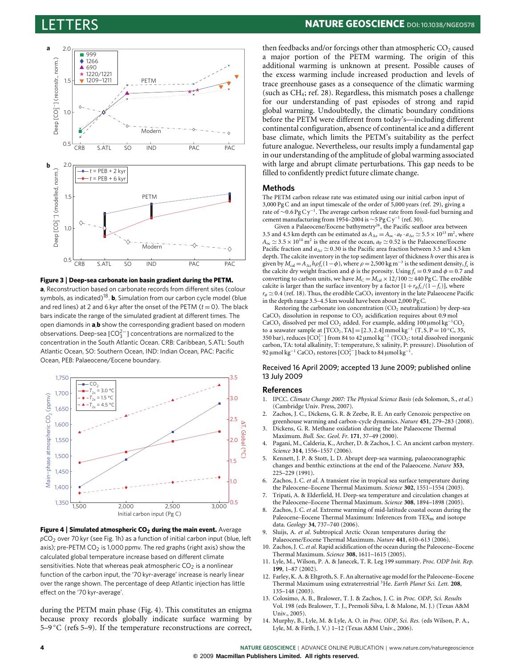

<span id="page-3-10"></span>**Figure 3** | **Deep-sea carbonate ion basin gradient during the PETM.**

**a**, Reconstruction based on carbonate records from different sites (colour symbols, as indicated)<sup>[18](#page-4-2)</sup>. **b**, Simulation from our carbon cycle model (blue and red lines) at 2 and 6 kyr after the onset of the PETM  $(t = 0)$ . The black bars indicate the range of the simulated gradient at different times. The open diamonds in **a**,**b** show the corresponding gradient based on modern observations. Deep-sea [CO $_3^{2-}$ ] concentrations are normalized to the concentration in the South Atlantic Ocean. CRB: Caribbean, S.ATL: South Atlantic Ocean, SO: Southern Ocean, IND: Indian Ocean, PAC: Pacific Ocean, PEB: Palaeocene/Eocene boundary.



<span id="page-3-11"></span>**Figure 4** | **Simulated atmospheric CO<sup>2</sup> during the main event.** Average *p*CO<sup>2</sup> over 70 kyr (see Fig. 1h) as a function of initial carbon input (blue, left axis); pre-PETM  $CO<sub>2</sub>$  is 1,000 ppmv. The red graphs (right axis) show the calculated global temperature increase based on different climate sensitivities. Note that whereas peak atmospheric  $CO<sub>2</sub>$  is a nonlinear function of the carbon input, the '70 kyr-average' increase is nearly linear over the range shown. The percentage of deep Atlantic injection has little effect on the '70 kyr-average'.

during the PETM main phase [\(Fig.](#page-3-11) [4\)](#page-3-11). This constitutes an enigma because proxy records globally indicate surface warming by [5](#page-3-4)–9  $\degree$ C (refs 5[–9\)](#page-3-5). If the temperature reconstructions are correct,

then feedbacks and/or forcings other than atmospheric  $CO<sub>2</sub>$  caused a major portion of the PETM warming. The origin of this additional warming is unknown at present. Possible causes of the excess warming include increased production and levels of trace greenhouse gases as a consequence of the climatic warming (such as  $CH_4$ ; ref. [28\)](#page-4-12). Regardless, this mismatch poses a challenge for our understanding of past episodes of strong and rapid global warming. Undoubtedly, the climatic boundary conditions before the PETM were different from today's—including different continental configuration, absence of continental ice and a different base climate, which limits the PETM's suitability as the perfect future analogue. Nevertheless, our results imply a fundamental gap in our understanding of the amplitude of global warming associated with large and abrupt climate perturbations. This gap needs to be filled to confidently predict future climate change.

#### **Methods**

The PETM carbon release rate was estimated using our initial carbon input of 3,000 Pg C and an input timescale of the order of 5,000 years (ref. [29\)](#page-4-13), giving a rate of ∼0.6 Pg C y<sup>−</sup><sup>1</sup> . The average carbon release rate from fossil-fuel burning and cement manufacturing from 1954–2004 is ~5 Pg C y<sup>-1</sup> (ref. [30\)](#page-4-14).

Given a Palaeocene/Eocene bathymetry<sup>[26](#page-4-10)</sup>, the Pacific seafloor area between 3.5 and 4.5 km depth can be estimated as  $A_{\Delta z} = A_{\text{oc}} \cdot a_{\text{P}} \cdot a_{\Delta z} \approx 5.5 \times 10^{13} \text{ m}^2$ , where  $A_{\text{oc}} \simeq 3.5 \times 10^{14} \text{ m}^2$  is the area of the ocean,  $a_P \simeq 0.52$  is the Palaeocene/Eocene Pacific fraction and  $a_{\Delta z} \approx 0.30$  is the Pacific area fraction between 3.5 and 4.5 km depth. The calcite inventory in the top sediment layer of thickness *h* over this area is given by  $M_{\rm cal} = A_{\Delta z} h \rho f_c (1 - \phi)$ , where  $\rho = 2,500 \text{ kg m}^{-3}$  is the sediment density,  $f_c$  is the calcite dry weight fraction and  $\phi$  is the porosity. Using  $f_c = 0.9$  and  $\phi = 0.7$  and converting to carbon units, we have  $M_C = M_{\text{cal}} \times 12/100 \approx 440 \text{ pg C}$ . The erodible calcite is larger than the surface inventory by a factor  $[1+r_{\phi} f_c/(1-f_c)]$ , where  $r_{\phi} \simeq 0.4$  (ref. [18\)](#page-4-2). Thus, the erodible CaCO<sub>3</sub> inventory in the late Palaeocene Pacific in the depth range 3.5–4.5 km would have been about 2,000 Pg C.

Restoring the carbonate ion concentration  $(CO<sub>2</sub>$  neutralization) by deep-sea CaCO<sub>3</sub> dissolution in response to  $CO<sub>2</sub>$  acidification requires about 0.9 mol CaCO<sub>3</sub> dissolved per mol CO<sub>2</sub> added. For example, adding 100 µmol kg<sup>-1</sup>CO<sub>2</sub> to a seawater sample at [TCO<sub>2</sub>,TA] = [2.3, 2.4] mmol kg<sup>-1</sup> (T, S, P = 10 °C, 35, 350 bar), reduces  $[CO_3^{2-}]$  from 84 to 42 μmol kg<sup>-1</sup> (TCO<sub>2</sub>: total dissolved inorganic carbon, TA: total alkalinity, T: temperature, S: salinity, P: pressure). Dissolution of 92 μmol kg<sup>-1</sup> CaCO<sub>3</sub> restores [CO<sup>2</sup><sub>2</sub><sup>-</sup>] back to 84 μmol kg<sup>-1</sup>.

Received 16 April 2009; accepted 13 June 2009; published online 13 July 2009

#### **References**

- <span id="page-3-0"></span>1. IPCC. *Climate Change 2007: The Physical Science Basis* (eds Solomon, S., *et al.*) (Cambridge Univ. Press, 2007).
- <span id="page-3-1"></span>2. Zachos, J. C., Dickens, G. R. & Zeebe, R. E. An early Cenozoic perspective on greenhouse warming and carbon-cycle dynamics. *Nature* **451**, 279–283 (2008).
- <span id="page-3-2"></span>3. Dickens, G. R. Methane oxidation during the late Palaeocene Thermal Maximum. *Bull. Soc. Geol. Fr.* **171**, 37–49 (2000).
- <span id="page-3-3"></span>4. Pagani, M., Calderia, K., Archer, D. & Zachos, J. C. An ancient carbon mystery. *Science* **314**, 1556–1557 (2006).
- <span id="page-3-4"></span>5. Kennett, J. P. & Stott, L. D. Abrupt deep-sea warming, palaeoceanographic changes and benthic extinctions at the end of the Palaeocene. *Nature* **353**, 225–229 (1991).
- 6. Zachos, J. C. *et al*. A transient rise in tropical sea surface temperature during the Paleocene–Eocene Thermal Maximum. *Science* **302**, 1551–1554 (2003).
- 7. Tripati, A. & Elderfield, H. Deep-sea temperature and circulation changes at the Paleocene–Eocene Thermal Maximum. *Science* **308**, 1894–1898 (2005).
- 8. Zachos, J. C. *et al*. Extreme warming of mid-latitude coastal ocean during the Paleocene–Eocene Thermal Maximum: Inferences from TEX<sub>86</sub> and isotope data. *Geology* **34**, 737–740 (2006).
- <span id="page-3-5"></span>9. Sluijs, A. *et al*. Subtropical Arctic Ocean temperatures during the Palaeocene/Eocene Thermal Maximum. *Nature* **441**, 610–613 (2006).
- <span id="page-3-6"></span>10. Zachos, J. C.*et al*. Rapid acidification of the ocean during the Paleocene–Eocene Thermal Maximum. *Science* **308**, 1611–1615 (2005).
- <span id="page-3-8"></span>11. Lyle, M., Wilson, P. A. & Janecek, T. R. Leg 199 summary. *Proc. ODP Init. Rep.* **199**, 1–87 (2002).
- 12. Farley, K. A. & Eltgroth, S. F. An alternative age model for the Paleocene–Eocene Thermal Maximum using extraterrestrial <sup>3</sup>He. *Earth Planet Sci. Lett.* **208**, 135–148 (2003).
- <span id="page-3-9"></span>13. Colosimo, A. B., Bralower, T. J. & Zachos, J. C. in *Proc. ODP, Sci. Results* Vol. 198 (eds Bralower, T. J., Premoli Silva, I. & Malone, M. J.) (Texas A&M Univ., 2005).
- <span id="page-3-7"></span>14. Murphy, B., Lyle, M. & Lyle, A. O. in *Proc. ODP, Sci. Res.* (eds Wilson, P. A., Lyle, M. & Firth, J. V.) 1–12 (Texas A&M Univ., 2006).